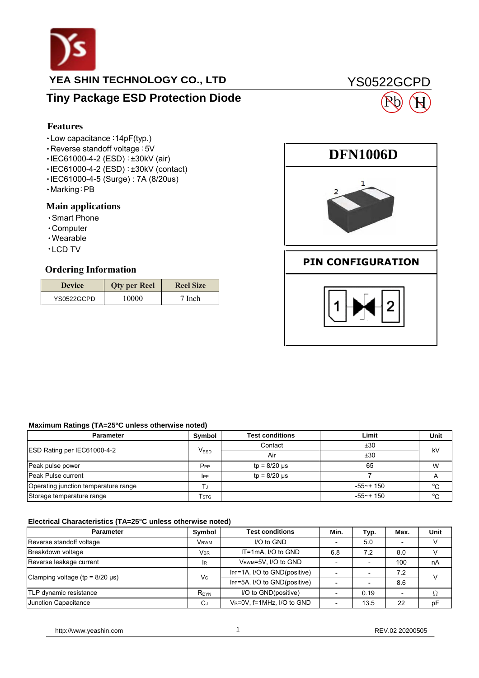

### **YEA SHIN TECHNOLOGY CO., LTD**

### **Tiny Package ESD Protection Diode**

### **Features**

- ‧Low capacitance:14pF(typ.)
- ‧Reverse standoff voltage:5V
- ‧IEC61000-4-2 (ESD):±30kV (air)
- ‧ IEC61000-4-2 (ESD):±30kV (contact)
- ‧IEC61000-4-5 (Surge) : 7A (8/20us)
- ‧Marking:PB

### **Main applications**

- ‧Smart Phone
- ‧Computer
- ‧Wearable
- ‧ LCD TV

| Features                                                                                                                                                                                                |                     |                  |  |  |
|---------------------------------------------------------------------------------------------------------------------------------------------------------------------------------------------------------|---------------------|------------------|--|--|
| $\cdot$ Low capacitance: 14pF(typ.)<br>• Reverse standoff voltage : 5V<br>·IEC61000-4-2 (ESD): ±30kV (air)<br>·IEC61000-4-2 (ESD): ±30kV (contact)<br>·IEC61000-4-5 (Surge): 7A (8/20us)<br>∙Marking∶PB |                     |                  |  |  |
| <b>Main applications</b><br>• Smart Phone<br>$\cdot$ Computer<br>• Wearable<br>$\cdot$ LCD TV<br><b>Ordering Information</b>                                                                            |                     |                  |  |  |
| <b>Device</b>                                                                                                                                                                                           | <b>Qty per Reel</b> | <b>Reel Size</b> |  |  |
| YS0522GCPD                                                                                                                                                                                              | 10000               | 7 Inch           |  |  |
|                                                                                                                                                                                                         |                     |                  |  |  |



YS0522GCPD

H

#### **Maximum Ratings (TA=25°C unless otherwise noted)**

| <b>Parameter</b>                     | Symbol          | <b>Test conditions</b> | Limit        | Unit |
|--------------------------------------|-----------------|------------------------|--------------|------|
|                                      | $V_{ESD}$       | Contact                | ±30          | kV   |
| ESD Rating per IEC61000-4-2          |                 | Air                    | ±30          |      |
| Peak pulse power                     | P <sub>PP</sub> | $tp = 8/20 \mu s$      | 65           | W    |
| Peak Pulse current                   | <b>IPP</b>      | $tp = 8/20$ $\mu s$    |              |      |
| Operating junction temperature range |                 |                        | $-55$ ~+ 150 | °C   |
| Storage temperature range            | <b>STG</b>      |                        | $-55$ ~+ 150 | °C   |

#### **Electrical Characteristics (TA=25°C unless otherwise noted)**

| <b>Parameter</b>                                    | Symbol      | <b>Test conditions</b>       | Min. | Typ. | Max. | Unit |  |
|-----------------------------------------------------|-------------|------------------------------|------|------|------|------|--|
| Reverse standoff voltage                            | <b>VRWM</b> | I/O to GND                   |      | 5.0  |      | v    |  |
| Breakdown voltage                                   | <b>VBR</b>  | $IT=1mA.$ I/O to GND         | 6.8  | 7.2  | 8.0  |      |  |
| Reverse leakage current                             | lR.         | VRWM=5V, I/O to GND          |      |      | 100  | nA   |  |
| Clamping voltage (tp = $8/20 \text{ }\mu\text{s}$ ) | Vc          | IPP=1A, I/O to GND(positive) |      |      | 7.2  | V    |  |
|                                                     |             | IPP=5A, I/O to GND(positive) |      |      | 8.6  |      |  |
| TLP dynamic resistance                              | $R_{DYN}$   | I/O to GND(positive)         |      | 0.19 |      |      |  |
| Junction Capacitance                                | CJ          | VR=0V, f=1MHz, I/O to GND    |      | 13.5 | 22   | pF   |  |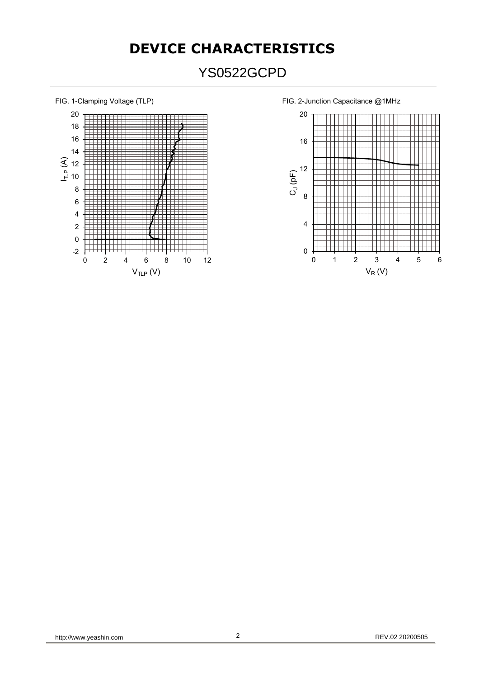# **DEVICE CHARACTERISTICS**

# YS0522GCPD